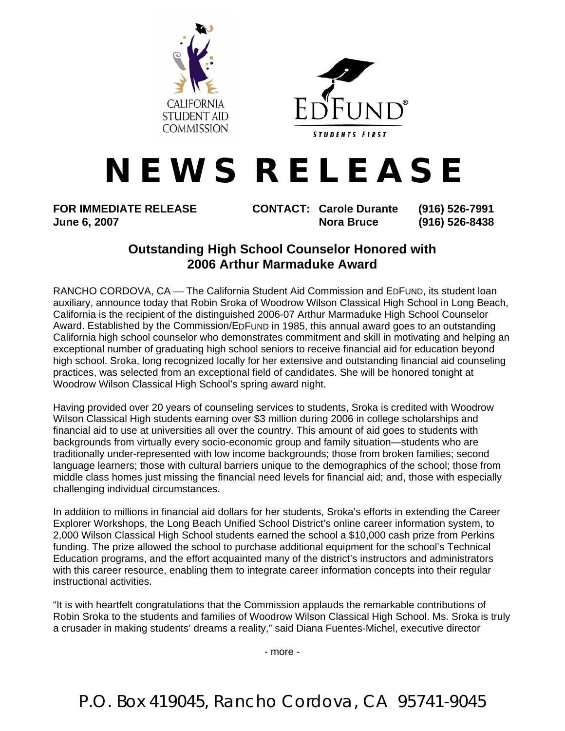



## **N E W S R E L E A S E**

**FOR IMMEDIATE RELEASE CONTACT: Carole Durante (916) 526-7991 June 6, 2007 Nora Bruce** (916) 526-8438

## **Outstanding High School Counselor Honored with 2006 Arthur Marmaduke Award**

RANCHO CORDOVA, CA — The California Student Aid Commission and EDFUND, its student loan auxiliary, announce today that Robin Sroka of Woodrow Wilson Classical High School in Long Beach, California is the recipient of the distinguished 2006-07 Arthur Marmaduke High School Counselor Award. Established by the Commission/EDFUND in 1985, this annual award goes to an outstanding California high school counselor who demonstrates commitment and skill in motivating and helping an exceptional number of graduating high school seniors to receive financial aid for education beyond high school. Sroka, long recognized locally for her extensive and outstanding financial aid counseling practices, was selected from an exceptional field of candidates. She will be honored tonight at Woodrow Wilson Classical High School's spring award night.

Having provided over 20 years of counseling services to students, Sroka is credited with Woodrow Wilson Classical High students earning over \$3 million during 2006 in college scholarships and financial aid to use at universities all over the country. This amount of aid goes to students with backgrounds from virtually every socio-economic group and family situation—students who are traditionally under-represented with low income backgrounds; those from broken families; second language learners; those with cultural barriers unique to the demographics of the school; those from middle class homes just missing the financial need levels for financial aid; and, those with especially challenging individual circumstances.

In addition to millions in financial aid dollars for her students, Sroka's efforts in extending the Career Explorer Workshops, the Long Beach Unified School District's online career information system, to 2,000 Wilson Classical High School students earned the school a \$10,000 cash prize from Perkins funding. The prize allowed the school to purchase additional equipment for the school's Technical Education programs, and the effort acquainted many of the district's instructors and administrators with this career resource, enabling them to integrate career information concepts into their regular instructional activities.

"It is with heartfelt congratulations that the Commission applauds the remarkable contributions of Robin Sroka to the students and families of Woodrow Wilson Classical High School. Ms. Sroka is truly a crusader in making students' dreams a reality," said Diana Fuentes-Michel, executive director

- more -

P.O. Box 419045, Rancho Cordova, CA 95741-9045